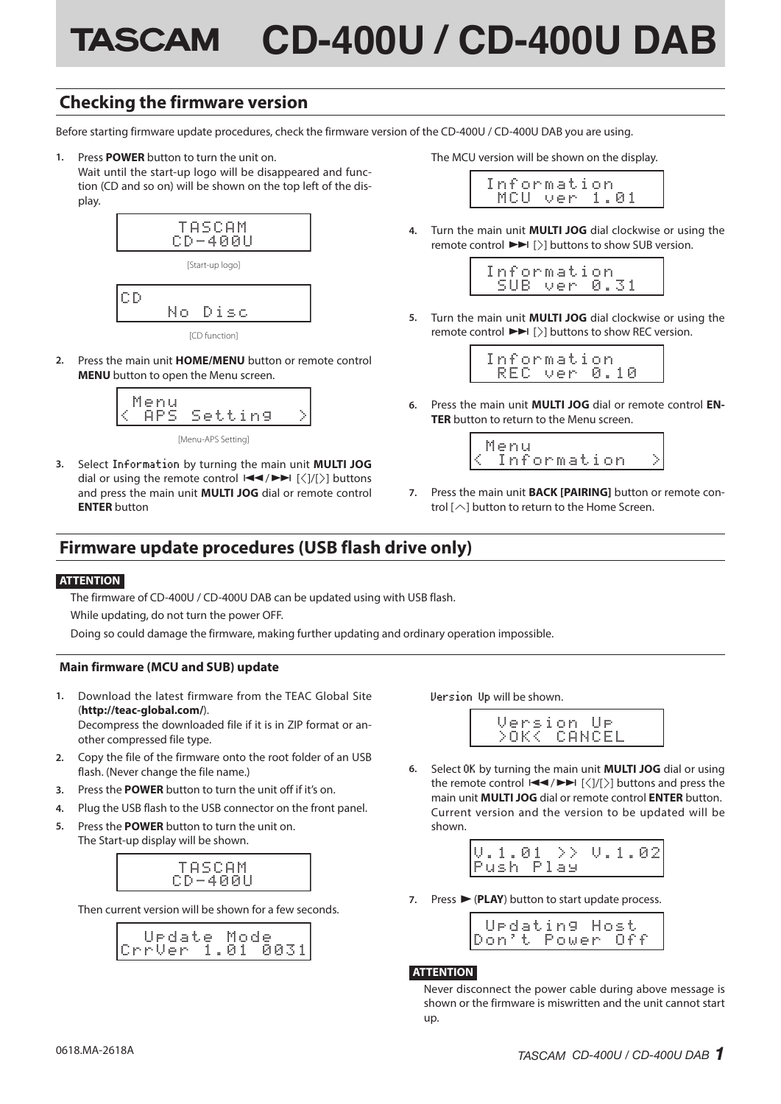# **TASCAM CD-400U / CD-400U DAB**

## **Checking the firmware version**

Before starting firmware update procedures, check the firmware version of the CD-400U / CD-400U DAB you are using.

**1.** Press **POWER** button to turn the unit on.

Wait until the start-up logo will be disappeared and function (CD and so on) will be shown on the top left of the display.



[CD function]

**2.** Press the main unit **HOME/MENU** button or remote control **MENU** button to open the Menu screen.



[Menu-APS Setting]

**3.** Select Information by turning the main unit **MULTI JOG**  dial or using the remote control  $\left|\frac{1}{2}\right| \to \left|\frac{1}{2}\right|$  buttons and press the main unit **MULTI JOG** dial or remote control **ENTER** button

The MCU version will be shown on the display.

|  |  |  |  | Information |  |              |  |
|--|--|--|--|-------------|--|--------------|--|
|  |  |  |  |             |  | MCU ver 1.01 |  |

**4.** Turn the main unit **MULTI JOG** dial clockwise or using the remote control  $\blacktriangleright$   $\blacktriangleright$   $\rfloor$  buttons to show SUB version.



**5.** Turn the main unit **MULTI JOG** dial clockwise or using the remote control  $\blacktriangleright$   $\blacktriangleright$   $\upharpoonright$   $\upharpoonright$  buttons to show REC version.

| Information |  |  |              |  |  |  |
|-------------|--|--|--------------|--|--|--|
|             |  |  | RFC ver 0.10 |  |  |  |

**6.** Press the main unit **MULTI JOG** dial or remote control **EN-TER** button to return to the Menu screen.



**7.** Press the main unit **BACK [PAIRING]** button or remote control  $[\wedge]$  button to return to the Home Screen.

## **Firmware update procedures (USB flash drive only)**

#### **ATTENTION**

The firmware of CD-400U / CD-400U DAB can be updated using with USB flash.

While updating, do not turn the power OFF.

Doing so could damage the firmware, making further updating and ordinary operation impossible.

#### **Main firmware (MCU and SUB) update**

**1.** Download the latest firmware from the TEAC Global Site (**http://teac-global.com/**). Decompress the downloaded file if it is in ZIP format or an-

other compressed file type.

- **2.** Copy the file of the firmware onto the root folder of an USB flash. (Never change the file name.)
- **3.** Press the **POWER** button to turn the unit off if it's on.
- **4.** Plug the USB flash to the USB connector on the front panel.
- **5.** Press the **POWER** button to turn the unit on. The Start-up display will be shown.



Then current version will be shown for a few seconds.

|            | e. | date | -Mol | r. | ø           |    |
|------------|----|------|------|----|-------------|----|
| rrver 1.01 |    |      |      |    | <u>ииз:</u> | 1. |

Version Up will be shown.

| Version Ur  |  |  |  |
|-------------|--|--|--|
| >OK< CANCEL |  |  |  |

**6.** Select OK by turning the main unit **MULTI JOG** dial or using the remote control  $\left|\frac{1}{2}\right|$   $\left|\frac{1}{2}\right|$  buttons and press the main unit **MULTI JOG** dial or remote control **ENTER** button. Current version and the version to be updated will be shown.

| 0.1.02<br>V.1.01<br>-> ><br>Push Play |
|---------------------------------------|
|---------------------------------------|

**7.** Press  $\blacktriangleright$  (**PLAY**) button to start update process.

|  |  |  |  |  |  | Urdating Host   |  |
|--|--|--|--|--|--|-----------------|--|
|  |  |  |  |  |  | Don't Power Off |  |

#### **ATTENTION**

Never disconnect the power cable during above message is shown or the firmware is miswritten and the unit cannot start up.